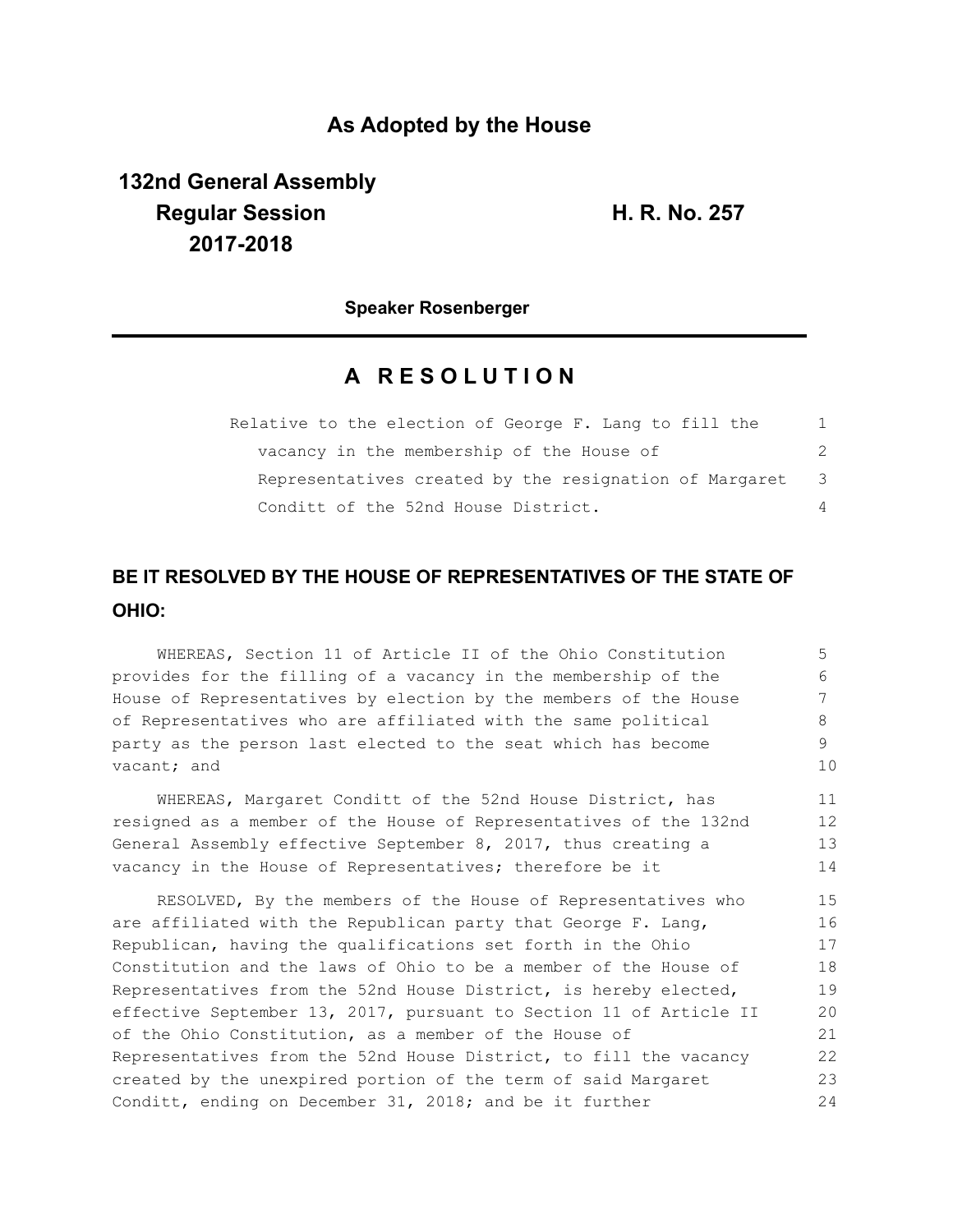## **As Adopted by the House**

**132nd General Assembly Regular Session H. R. No. 257 2017-2018**

**Speaker Rosenberger**

# **A R E S O L U T I O N**

| Relative to the election of George F. Lang to fill the | 1   |
|--------------------------------------------------------|-----|
| vacancy in the membership of the House of              | 2   |
| Representatives created by the resignation of Margaret | - 3 |
| Conditt of the 52nd House District.                    | 4   |

# **BE IT RESOLVED BY THE HOUSE OF REPRESENTATIVES OF THE STATE OF OHIO:**

WHEREAS, Section 11 of Article II of the Ohio Constitution provides for the filling of a vacancy in the membership of the House of Representatives by election by the members of the House of Representatives who are affiliated with the same political party as the person last elected to the seat which has become vacant; and 5 6 7 8 9 10

WHEREAS, Margaret Conditt of the 52nd House District, has resigned as a member of the House of Representatives of the 132nd General Assembly effective September 8, 2017, thus creating a vacancy in the House of Representatives; therefore be it 11 12 13 14

RESOLVED, By the members of the House of Representatives who are affiliated with the Republican party that George F. Lang, Republican, having the qualifications set forth in the Ohio Constitution and the laws of Ohio to be a member of the House of Representatives from the 52nd House District, is hereby elected, effective September 13, 2017, pursuant to Section 11 of Article II of the Ohio Constitution, as a member of the House of Representatives from the 52nd House District, to fill the vacancy created by the unexpired portion of the term of said Margaret Conditt, ending on December 31, 2018; and be it further 15 16 17 18 19 20 21 22 23 24